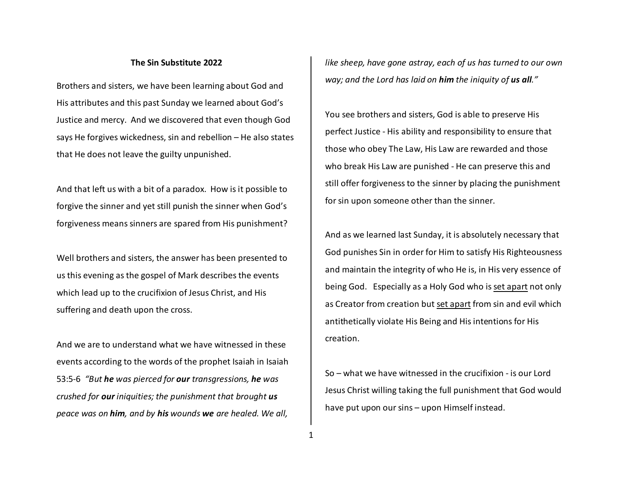## **The Sin Substitute 2022**

Brothers and sisters, we have been learning about God and His attributes and this past Sunday we learned about God's Justice and mercy. And we discovered that even though God says He forgives wickedness, sin and rebellion – He also states that He does not leave the guilty unpunished.

And that left us with a bit of a paradox. How is it possible to forgive the sinner and yet still punish the sinner when God's forgiveness means sinners are spared from His punishment?

Well brothers and sisters, the answer has been presented to us this evening as the gospel of Mark describes the events which lead up to the crucifixion of Jesus Christ, and His suffering and death upon the cross.

And we are to understand what we have witnessed in these events according to the words of the prophet Isaiah in Isaiah 53:5-6 *"But he was pierced for our transgressions, he was crushed for our iniquities; the punishment that brought uspeace was on him, and by his wounds we are healed. We all,* 

*like sheep, have gone astray, each of us has turned to our own way; and the Lord has laid on him the iniquity of us all."* 

You see brothers and sisters, God is able to preserve His perfect Justice - His ability and responsibility to ensure that those who obey The Law, His Law are rewarded and those who break His Law are punished - He can preserve this and still offer forgiveness to the sinner by placing the punishment for sin upon someone other than the sinner.

And as we learned last Sunday, it is absolutely necessary that God punishes Sin in order for Him to satisfy His Righteousness and maintain the integrity of who He is, in His very essence of being God. Especially as a Holy God who is set apart not only as Creator from creation but set apart from sin and evil which antithetically violate His Being and His intentions for His creation.

So – what we have witnessed in the crucifixion - is our Lord Jesus Christ willing taking the full punishment that God would have put upon our sins – upon Himself instead.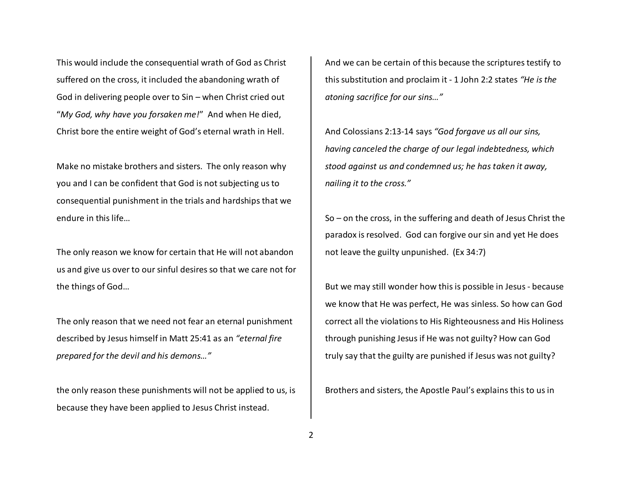This would include the consequential wrath of God as Christ suffered on the cross, it included the abandoning wrath of God in delivering people over to Sin – when Christ cried out "*My God, why have you forsaken me!*" And when He died, Christ bore the entire weight of God's eternal wrath in Hell.

Make no mistake brothers and sisters. The only reason why you and I can be confident that God is not subjecting us to consequential punishment in the trials and hardships that we endure in this life…

The only reason we know for certain that He will not abandon us and give us over to our sinful desires so that we care not for the things of God…

The only reason that we need not fear an eternal punishment described by Jesus himself in Matt 25:41 as an *"eternal fire prepared for the devil and his demons…"*

the only reason these punishments will not be applied to us, is because they have been applied to Jesus Christ instead.

And we can be certain of this because the scriptures testify to this substitution and proclaim it - 1 John 2:2 states *"He is the atoning sacrifice for our sins…"* 

And Colossians 2:13-14 says *"God forgave us all our sins, having canceled the charge of our legal indebtedness, which stood against us and condemned us; he has taken it away, nailing it to the cross."*

So – on the cross, in the suffering and death of Jesus Christ the paradox is resolved. God can forgive our sin and yet He does not leave the guilty unpunished. (Ex 34:7)

But we may still wonder how this is possible in Jesus - because we know that He was perfect, He was sinless. So how can God correct all the violations to His Righteousness and His Holiness through punishing Jesus if He was not guilty? How can God truly say that the guilty are punished if Jesus was not guilty?

Brothers and sisters, the Apostle Paul's explains this to us in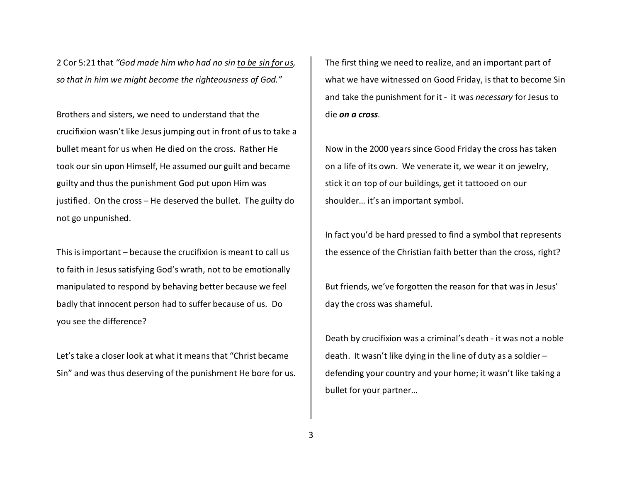2 Cor 5:21 that *"God made him who had no sin to be sin for us, so that in him we might become the righteousness of God."* 

Brothers and sisters, we need to understand that thecrucifixion wasn't like Jesus jumping out in front of us to take a bullet meant for us when He died on the cross. Rather He took our sin upon Himself, He assumed our guilt and became guilty and thus the punishment God put upon Him wasjustified. On the cross – He deserved the bullet. The guilty do not go unpunished.

This is important – because the crucifixion is meant to call us to faith in Jesus satisfying God's wrath, not to be emotionally manipulated to respond by behaving better because we feel badly that innocent person had to suffer because of us. Do you see the difference?

Let's take a closer look at what it means that "Christ became Sin" and was thus deserving of the punishment He bore for us. The first thing we need to realize, and an important part of what we have witnessed on Good Friday, is that to become Sin and take the punishment for it - it was *necessary* for Jesus to die *on a cross*.

Now in the 2000 years since Good Friday the cross has taken on a life of its own. We venerate it, we wear it on jewelry, stick it on top of our buildings, get it tattooed on our shoulder… it's an important symbol.

In fact you'd be hard pressed to find a symbol that represents the essence of the Christian faith better than the cross, right?

But friends, we've forgotten the reason for that was in Jesus' day the cross was shameful.

Death by crucifixion was a criminal's death - it was not a noble death. It wasn't like dying in the line of duty as a soldier – defending your country and your home; it wasn't like taking a bullet for your partner…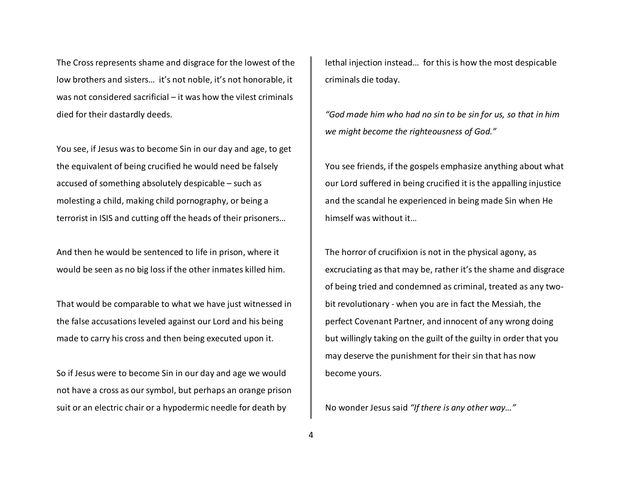The Cross represents shame and disgrace for the lowest of the low brothers and sisters… it's not noble, it's not honorable, it was not considered sacrificial – it was how the vilest criminals died for their dastardly deeds.

You see, if Jesus was to become Sin in our day and age, to get the equivalent of being crucified he would need be falsely accused of something absolutely despicable – such as molesting a child, making child pornography, or being a terrorist in ISIS and cutting off the heads of their prisoners…

And then he would be sentenced to life in prison, where it would be seen as no big loss if the other inmates killed him.

That would be comparable to what we have just witnessed in the false accusations leveled against our Lord and his being made to carry his cross and then being executed upon it.

So if Jesus were to become Sin in our day and age we would not have a cross as our symbol, but perhaps an orange prison suit or an electric chair or a hypodermic needle for death by

lethal injection instead… for this is how the most despicable criminals die today.

*"God made him who had no sin to be sin for us, so that in him we might become the righteousness of God."* 

You see friends, if the gospels emphasize anything about what our Lord suffered in being crucified it is the appalling injustice and the scandal he experienced in being made Sin when He himself was without it…

The horror of crucifixion is not in the physical agony, as excruciating as that may be, rather it's the shame and disgrace of being tried and condemned as criminal, treated as any twobit revolutionary - when you are in fact the Messiah, the perfect Covenant Partner, and innocent of any wrong doing but willingly taking on the guilt of the guilty in order that you may deserve the punishment for their sin that has now become yours.

No wonder Jesus said *"If there is any other way…"*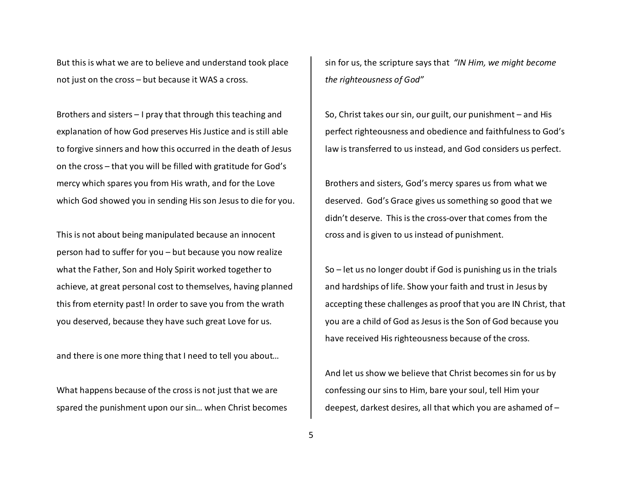But this is what we are to believe and understand took place not just on the cross – but because it WAS a cross.

Brothers and sisters – I pray that through this teaching and explanation of how God preserves His Justice and is still able to forgive sinners and how this occurred in the death of Jesus on the cross – that you will be filled with gratitude for God's mercy which spares you from His wrath, and for the Love which God showed you in sending His son Jesus to die for you.

This is not about being manipulated because an innocent person had to suffer for you – but because you now realize what the Father, Son and Holy Spirit worked together to achieve, at great personal cost to themselves, having planned this from eternity past! In order to save you from the wrath you deserved, because they have such great Love for us.

and there is one more thing that I need to tell you about…

What happens because of the cross is not just that we are spared the punishment upon our sin… when Christ becomes

sin for us, the scripture says that *"IN Him, we might become the righteousness of God"*

So, Christ takes our sin, our guilt, our punishment – and His perfect righteousness and obedience and faithfulness to God's law is transferred to us instead, and God considers us perfect.

Brothers and sisters, God's mercy spares us from what we deserved. God's Grace gives us something so good that we didn't deserve. This is the cross-over that comes from the cross and is given to us instead of punishment.

So – let us no longer doubt if God is punishing us in the trials and hardships of life. Show your faith and trust in Jesus by accepting these challenges as proof that you are IN Christ, that you are a child of God as Jesus is the Son of God because you have received His righteousness because of the cross.

And let us show we believe that Christ becomes sin for us by confessing our sins to Him, bare your soul, tell Him your deepest, darkest desires, all that which you are ashamed of –